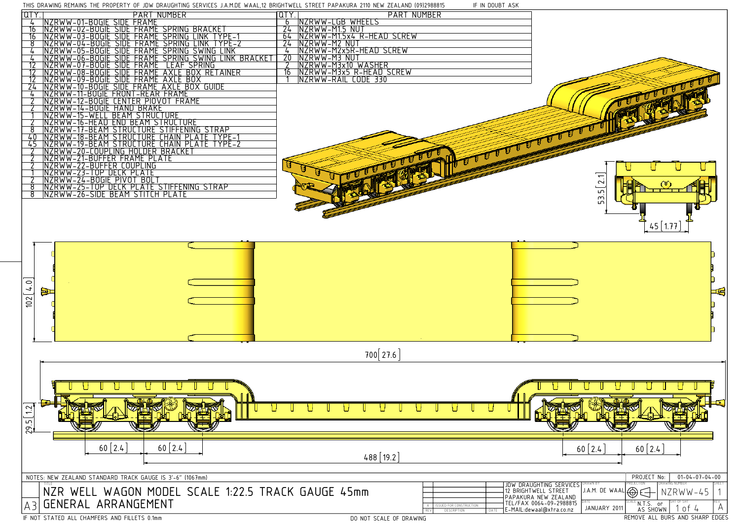

DEMAINS THE PROPERTY OF JRM PRAHELITING SERVICES J.A.M.DE WAAL 12 BRIGHTMELL STREET RADAKURA 2110 NEW ZEALAND (00)2088815

IF IN DOUBT ASK

DO NOT SCALE OF DRAWING

|                                                                                                      | THIS DRAWING REMAINS THE PROPERTY OF JDW DRAUGHTING SERVICES J.A.M.DE WAAL,IZ BRIGHTWELL STREET PAPAKORA ZIIO NEW ZEALAND (09)Z988815                                                                                | IF IN DUUBT ASK                                                                      |                                                                                                             |
|------------------------------------------------------------------------------------------------------|----------------------------------------------------------------------------------------------------------------------------------------------------------------------------------------------------------------------|--------------------------------------------------------------------------------------|-------------------------------------------------------------------------------------------------------------|
| QTY.                                                                                                 | PART NUMBER                                                                                                                                                                                                          | <b>PART NUMBER</b><br>[QTY.                                                          |                                                                                                             |
|                                                                                                      | NZRWW-01-BOGIE SIDE FRAME<br>NZRWW-02-BOGIE SIDE FRAME SPRING BRACKET<br>NZRWW-03-BOGIE SIDE FRAME SPRING LINK TYPE-1<br>NZRWW-04-BOGIE SIDE FRAME SPRING LINK TYPE-2<br>NZRWW-05-BOGIE SIDE FRAME SPRING SWING LINK | NZRWW-LGB WHEELS<br>NZRWW-M15 NUT<br>6<br>$\overline{24}$                            |                                                                                                             |
|                                                                                                      |                                                                                                                                                                                                                      | NZRWW-M15x4 R-HEAD SCREW<br>64                                                       |                                                                                                             |
| 8                                                                                                    |                                                                                                                                                                                                                      | $\overline{24}$<br>NZRWW-M2 NUT                                                      |                                                                                                             |
|                                                                                                      |                                                                                                                                                                                                                      | NZRWW-M2x5R-HEAD SCREW<br>$\frac{1}{2}$<br>$\overline{20}$                           |                                                                                                             |
|                                                                                                      | <u>NZRWW-06-BOGIE SIDE FRAME SPRING SWING LINK BRACKET<br/>NZRWW-07-BOGIE SIDE FRAME LEAF SPRING</u><br>SIDE FRAME LEAF SPRING                                                                                       | NZRWW-M3^NUT<br>NZRWW-M3x10 WASHER<br>NZRWW-M3x5 R-HEAD SCREW<br>NZRWW-RAIL CODE 330 |                                                                                                             |
|                                                                                                      | <u>NZRWW-08-BOGIE SIDE FRAME AXLE BOX<br/>NZRWW-09-BOGIE SIDE FRAME AXLE BOX</u>                                                                                                                                     | 16                                                                                   |                                                                                                             |
|                                                                                                      | SIDE FRAME AXLE BOX GUIDE<br>$NZRWW-10-BOGIE$                                                                                                                                                                        |                                                                                      |                                                                                                             |
|                                                                                                      | <u>NZRWW-11-BOGIE FRONT-REAR FRAME<br/>NZRWW-12-BOGIE CENTER PIOVOT FRAME<br/>NZRWW-14-BOGIE HAND BRAKE</u>                                                                                                          |                                                                                      |                                                                                                             |
|                                                                                                      |                                                                                                                                                                                                                      |                                                                                      |                                                                                                             |
|                                                                                                      | NZRWW-15-WELL BEAM STRUCTURE                                                                                                                                                                                         |                                                                                      |                                                                                                             |
|                                                                                                      | NZRWW-16-HEAD END BEAM STRUCTURE                                                                                                                                                                                     |                                                                                      |                                                                                                             |
|                                                                                                      | <b>ETURE STIFFENING STRAP</b><br>NZRWW-17-BEAM<br>STRUC                                                                                                                                                              |                                                                                      |                                                                                                             |
| 45                                                                                                   |                                                                                                                                                                                                                      |                                                                                      |                                                                                                             |
|                                                                                                      | <u>NZRWW-18-BEAM STRUCTURE CHAIN PLATE TYPE-1</u><br>NZRWW-19-BEAM STRUCTURE CHAIN PLATE TYPE-2<br>NZRWW-20-COUPLING HOLDER BRACKET                                                                                  |                                                                                      |                                                                                                             |
|                                                                                                      | NZRWW-21-BUFFER FRAME PLATE                                                                                                                                                                                          |                                                                                      |                                                                                                             |
|                                                                                                      | <u>NZRWW-22-BUFFER COUPLING</u><br><u>NZRWW-23-TOP DECK PLATE</u>                                                                                                                                                    | U                                                                                    |                                                                                                             |
|                                                                                                      | NZRWW-24-BOGIE PIVOT BOLT<br>NZRWW-25-TOP DECK PLATE STIFFENING STRAP<br>NZRWW-26-SIDE BEAM STITCH PLATE                                                                                                             |                                                                                      | $\boxed{2.1}$                                                                                               |
|                                                                                                      |                                                                                                                                                                                                                      |                                                                                      | $\mathcal{C}$                                                                                               |
|                                                                                                      |                                                                                                                                                                                                                      |                                                                                      | 53.5                                                                                                        |
|                                                                                                      |                                                                                                                                                                                                                      |                                                                                      |                                                                                                             |
|                                                                                                      |                                                                                                                                                                                                                      |                                                                                      |                                                                                                             |
|                                                                                                      |                                                                                                                                                                                                                      |                                                                                      | $45$   1.77                                                                                                 |
|                                                                                                      |                                                                                                                                                                                                                      |                                                                                      |                                                                                                             |
|                                                                                                      |                                                                                                                                                                                                                      |                                                                                      |                                                                                                             |
|                                                                                                      |                                                                                                                                                                                                                      |                                                                                      |                                                                                                             |
|                                                                                                      |                                                                                                                                                                                                                      |                                                                                      |                                                                                                             |
|                                                                                                      |                                                                                                                                                                                                                      |                                                                                      |                                                                                                             |
| $\circ$                                                                                              |                                                                                                                                                                                                                      |                                                                                      |                                                                                                             |
| 102   4                                                                                              | þ                                                                                                                                                                                                                    |                                                                                      | 一件                                                                                                          |
|                                                                                                      |                                                                                                                                                                                                                      |                                                                                      |                                                                                                             |
|                                                                                                      |                                                                                                                                                                                                                      |                                                                                      |                                                                                                             |
|                                                                                                      |                                                                                                                                                                                                                      |                                                                                      |                                                                                                             |
|                                                                                                      |                                                                                                                                                                                                                      |                                                                                      |                                                                                                             |
|                                                                                                      |                                                                                                                                                                                                                      |                                                                                      |                                                                                                             |
|                                                                                                      |                                                                                                                                                                                                                      | 700 27.6                                                                             |                                                                                                             |
|                                                                                                      |                                                                                                                                                                                                                      |                                                                                      |                                                                                                             |
|                                                                                                      |                                                                                                                                                                                                                      |                                                                                      |                                                                                                             |
|                                                                                                      |                                                                                                                                                                                                                      |                                                                                      |                                                                                                             |
|                                                                                                      |                                                                                                                                                                                                                      |                                                                                      |                                                                                                             |
|                                                                                                      |                                                                                                                                                                                                                      |                                                                                      |                                                                                                             |
| 12                                                                                                   |                                                                                                                                                                                                                      |                                                                                      |                                                                                                             |
|                                                                                                      |                                                                                                                                                                                                                      |                                                                                      |                                                                                                             |
| 29.5                                                                                                 |                                                                                                                                                                                                                      |                                                                                      |                                                                                                             |
|                                                                                                      |                                                                                                                                                                                                                      |                                                                                      |                                                                                                             |
|                                                                                                      | $60 \mid 2.4$<br>$60 \mid 2.4$                                                                                                                                                                                       |                                                                                      | $60 \mid 2.4$<br>$60 \mid 2.4$                                                                              |
|                                                                                                      |                                                                                                                                                                                                                      | $488$ [19.2]                                                                         |                                                                                                             |
|                                                                                                      |                                                                                                                                                                                                                      |                                                                                      |                                                                                                             |
| $01 - 04 - 07 - 04 - 00$<br>NOTES: NEW ZEALAND STANDARD TRACK GAUGE IS 3'-6" (1067mm)<br>PROJECT No: |                                                                                                                                                                                                                      |                                                                                      |                                                                                                             |
|                                                                                                      | NZR WELL WAGON MODEL SCALE 1:22.5 TRACK GAUGE 45mm                                                                                                                                                                   |                                                                                      | ROJECTION<br>RAWING NUMBER<br>RAWN B`<br>JDW DRAUGHTING SERVICES<br> 12 BRIGHTWELL STREET<br>J.A.M. DE WAAL |
|                                                                                                      |                                                                                                                                                                                                                      |                                                                                      | ⊕∈<br>NZRWW-45<br>PAPAKURA NEW ZEALAND<br>TEL/FAX 0064-09-2988815                                           |
| A3                                                                                                   | GENERAL ARRANGEMENT                                                                                                                                                                                                  | SUED FOR CONSTRUCTION<br>DESCRIPTION<br>DATE                                         | EN.T.S. or<br>AS SHOWN<br>JANUARY 2011<br>$1$ of $4$<br>E-MAIL:dewaal@xtra.co.nz                            |
|                                                                                                      |                                                                                                                                                                                                                      |                                                                                      |                                                                                                             |

IF NOT STATED ALL CHAMFERS AND FILLETS 0.1mm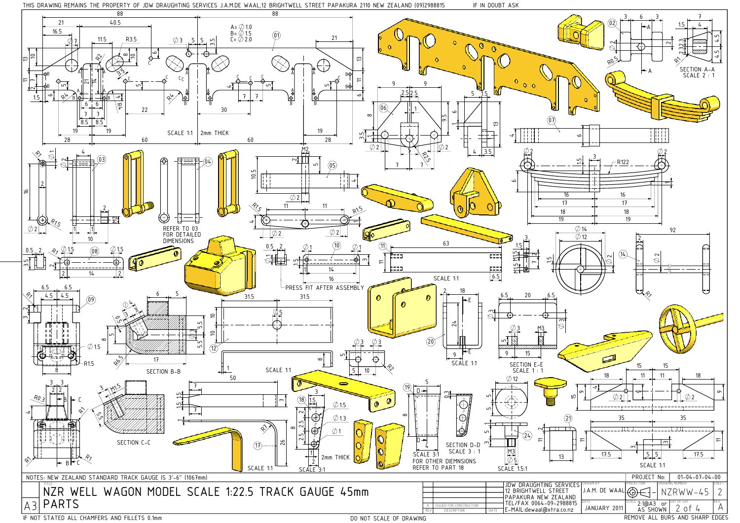



DO NOT SCALE OF DRAWING

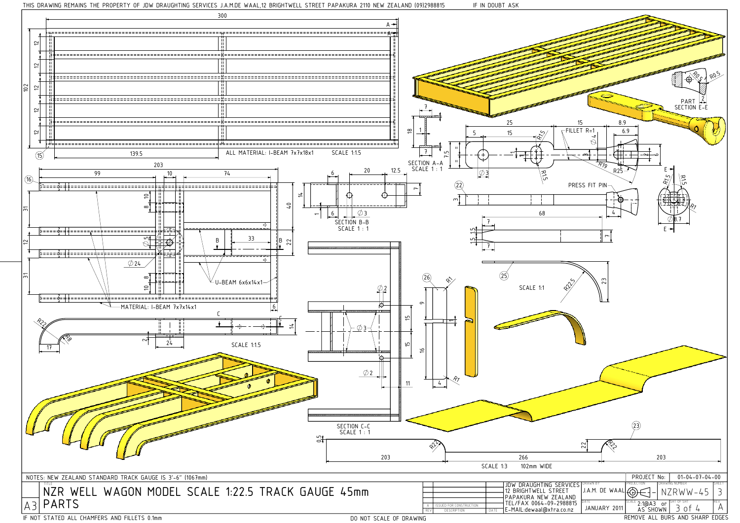